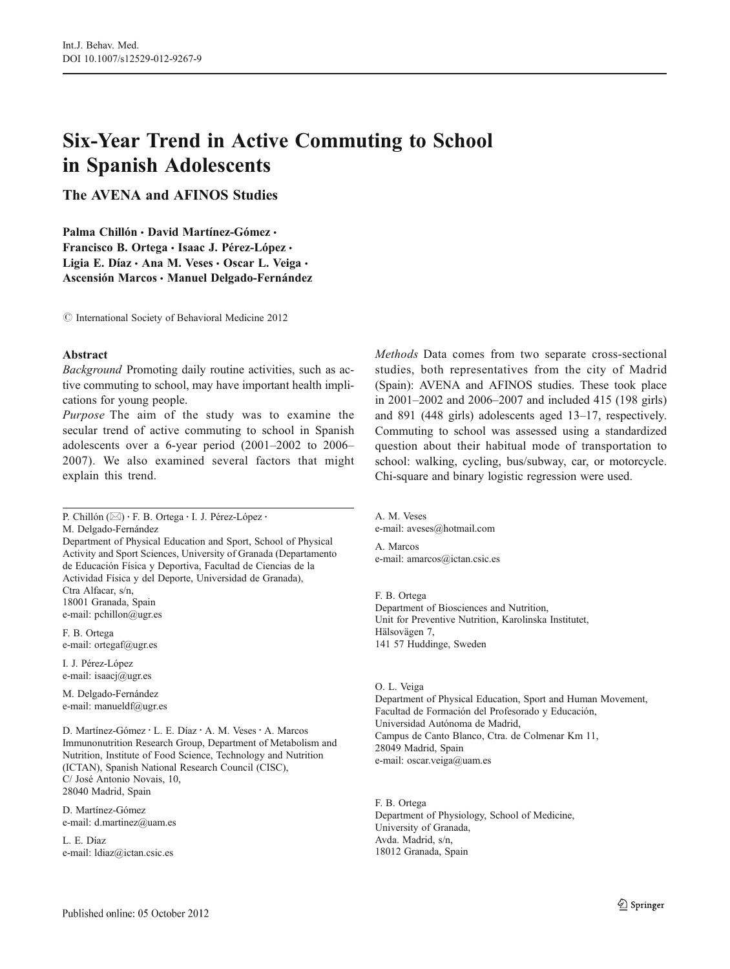# Six-Year Trend in Active Commuting to School in Spanish Adolescents

The AVENA and AFINOS Studies

Palma Chillón · David Martínez-Gómez · Francisco B. Ortega · Isaac J. Pérez-López · Ligia E. Díaz · Ana M. Veses · Oscar L. Veiga · Ascensión Marcos & Manuel Delgado-Fernández

 $\odot$  International Society of Behavioral Medicine 2012

### Abstract

Background Promoting daily routine activities, such as active commuting to school, may have important health implications for young people.

Purpose The aim of the study was to examine the secular trend of active commuting to school in Spanish adolescents over a 6-year period (2001–2002 to 2006– 2007). We also examined several factors that might explain this trend.

P. Chillón (⊠) · F. B. Ortega · I. J. Pérez-López · M. Delgado-Fernández Department of Physical Education and Sport, School of Physical Activity and Sport Sciences, University of Granada (Departamento de Educación Física y Deportiva, Facultad de Ciencias de la Actividad Física y del Deporte, Universidad de Granada), Ctra Alfacar, s/n, 18001 Granada, Spain e-mail: pchillon@ugr.es

F. B. Ortega e-mail: ortegaf@ugr.es

I. J. Pérez-López e-mail: isaacj@ugr.es

M. Delgado-Fernández e-mail: manueldf@ugr.es

D. Martínez-Gómez · L. E. Díaz · A. M. Veses · A. Marcos Immunonutrition Research Group, Department of Metabolism and Nutrition, Institute of Food Science, Technology and Nutrition (ICTAN), Spanish National Research Council (CISC), C/ José Antonio Novais, 10, 28040 Madrid, Spain

D. Martínez-Gómez e-mail: d.martinez@uam.es

L. E. Díaz e-mail: ldiaz@ictan.csic.es Methods Data comes from two separate cross-sectional studies, both representatives from the city of Madrid (Spain): AVENA and AFINOS studies. These took place in 2001–2002 and 2006–2007 and included 415 (198 girls) and 891 (448 girls) adolescents aged 13–17, respectively. Commuting to school was assessed using a standardized question about their habitual mode of transportation to school: walking, cycling, bus/subway, car, or motorcycle. Chi-square and binary logistic regression were used.

A. M. Veses e-mail: aveses@hotmail.com A. Marcos e-mail: amarcos@ictan.csic.es

F. B. Ortega Department of Biosciences and Nutrition, Unit for Preventive Nutrition, Karolinska Institutet, Hälsovägen 7, 141 57 Huddinge, Sweden

O. L. Veiga

Department of Physical Education, Sport and Human Movement, Facultad de Formación del Profesorado y Educación, Universidad Autónoma de Madrid, Campus de Canto Blanco, Ctra. de Colmenar Km 11, 28049 Madrid, Spain e-mail: oscar.veiga@uam.es

F. B. Ortega Department of Physiology, School of Medicine, University of Granada, Avda. Madrid, s/n, 18012 Granada, Spain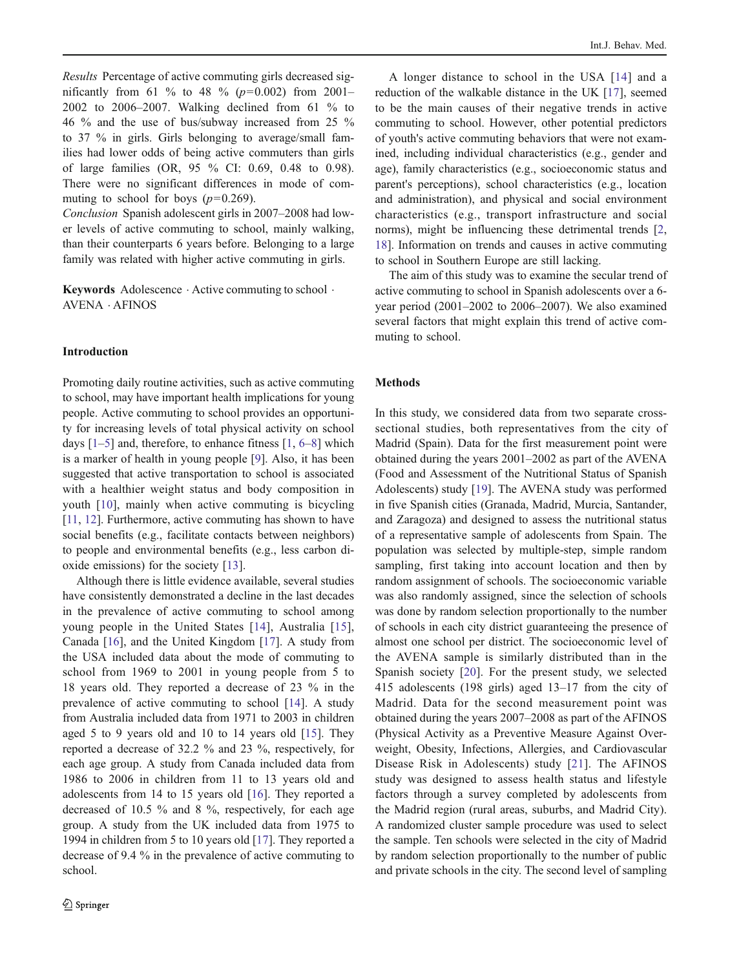Results Percentage of active commuting girls decreased significantly from 61 % to 48 % ( $p=0.002$ ) from 2001– 2002 to 2006–2007. Walking declined from 61 % to 46 % and the use of bus/subway increased from 25 % to 37 % in girls. Girls belonging to average/small families had lower odds of being active commuters than girls of large families (OR, 95 % CI: 0.69, 0.48 to 0.98). There were no significant differences in mode of commuting to school for boys  $(p=0.269)$ .

Conclusion Spanish adolescent girls in 2007–2008 had lower levels of active commuting to school, mainly walking, than their counterparts 6 years before. Belonging to a large family was related with higher active commuting in girls.

Keywords Adolescence . Active commuting to school . AVENA . AFINOS

#### Introduction

Promoting daily routine activities, such as active commuting to school, may have important health implications for young people. Active commuting to school provides an opportunity for increasing levels of total physical activity on school days  $[1-5]$  $[1-5]$  $[1-5]$  $[1-5]$  and, therefore, to enhance fitness  $[1, 6-8]$  $[1, 6-8]$  $[1, 6-8]$  $[1, 6-8]$  $[1, 6-8]$  $[1, 6-8]$  which is a marker of health in young people [\[9](#page-7-0)]. Also, it has been suggested that active transportation to school is associated with a healthier weight status and body composition in youth [[10](#page-7-0)], mainly when active commuting is bicycling [\[11,](#page-7-0) [12](#page-7-0)]. Furthermore, active commuting has shown to have social benefits (e.g., facilitate contacts between neighbors) to people and environmental benefits (e.g., less carbon dioxide emissions) for the society [[13\]](#page-7-0).

Although there is little evidence available, several studies have consistently demonstrated a decline in the last decades in the prevalence of active commuting to school among young people in the United States [[14](#page-7-0)], Australia [[15](#page-7-0)], Canada [[16\]](#page-7-0), and the United Kingdom [[17\]](#page-7-0). A study from the USA included data about the mode of commuting to school from 1969 to 2001 in young people from 5 to 18 years old. They reported a decrease of 23 % in the prevalence of active commuting to school [\[14](#page-7-0)]. A study from Australia included data from 1971 to 2003 in children aged 5 to 9 years old and 10 to 14 years old [[15\]](#page-7-0). They reported a decrease of 32.2 % and 23 %, respectively, for each age group. A study from Canada included data from 1986 to 2006 in children from 11 to 13 years old and adolescents from 14 to 15 years old [\[16](#page-7-0)]. They reported a decreased of 10.5 % and 8 %, respectively, for each age group. A study from the UK included data from 1975 to 1994 in children from 5 to 10 years old [\[17](#page-7-0)]. They reported a decrease of 9.4 % in the prevalence of active commuting to school.

A longer distance to school in the USA [[14](#page-7-0)] and a reduction of the walkable distance in the UK [[17\]](#page-7-0), seemed to be the main causes of their negative trends in active commuting to school. However, other potential predictors of youth's active commuting behaviors that were not examined, including individual characteristics (e.g., gender and age), family characteristics (e.g., socioeconomic status and parent's perceptions), school characteristics (e.g., location and administration), and physical and social environment characteristics (e.g., transport infrastructure and social norms), might be influencing these detrimental trends [[2,](#page-7-0) [18](#page-7-0)]. Information on trends and causes in active commuting to school in Southern Europe are still lacking.

The aim of this study was to examine the secular trend of active commuting to school in Spanish adolescents over a 6 year period (2001–2002 to 2006–2007). We also examined several factors that might explain this trend of active commuting to school.

#### Methods

In this study, we considered data from two separate crosssectional studies, both representatives from the city of Madrid (Spain). Data for the first measurement point were obtained during the years 2001–2002 as part of the AVENA (Food and Assessment of the Nutritional Status of Spanish Adolescents) study [[19\]](#page-7-0). The AVENA study was performed in five Spanish cities (Granada, Madrid, Murcia, Santander, and Zaragoza) and designed to assess the nutritional status of a representative sample of adolescents from Spain. The population was selected by multiple-step, simple random sampling, first taking into account location and then by random assignment of schools. The socioeconomic variable was also randomly assigned, since the selection of schools was done by random selection proportionally to the number of schools in each city district guaranteeing the presence of almost one school per district. The socioeconomic level of the AVENA sample is similarly distributed than in the Spanish society [[20\]](#page-7-0). For the present study, we selected 415 adolescents (198 girls) aged 13–17 from the city of Madrid. Data for the second measurement point was obtained during the years 2007–2008 as part of the AFINOS (Physical Activity as a Preventive Measure Against Overweight, Obesity, Infections, Allergies, and Cardiovascular Disease Risk in Adolescents) study [\[21\]](#page-7-0). The AFINOS study was designed to assess health status and lifestyle factors through a survey completed by adolescents from the Madrid region (rural areas, suburbs, and Madrid City). A randomized cluster sample procedure was used to select the sample. Ten schools were selected in the city of Madrid by random selection proportionally to the number of public and private schools in the city. The second level of sampling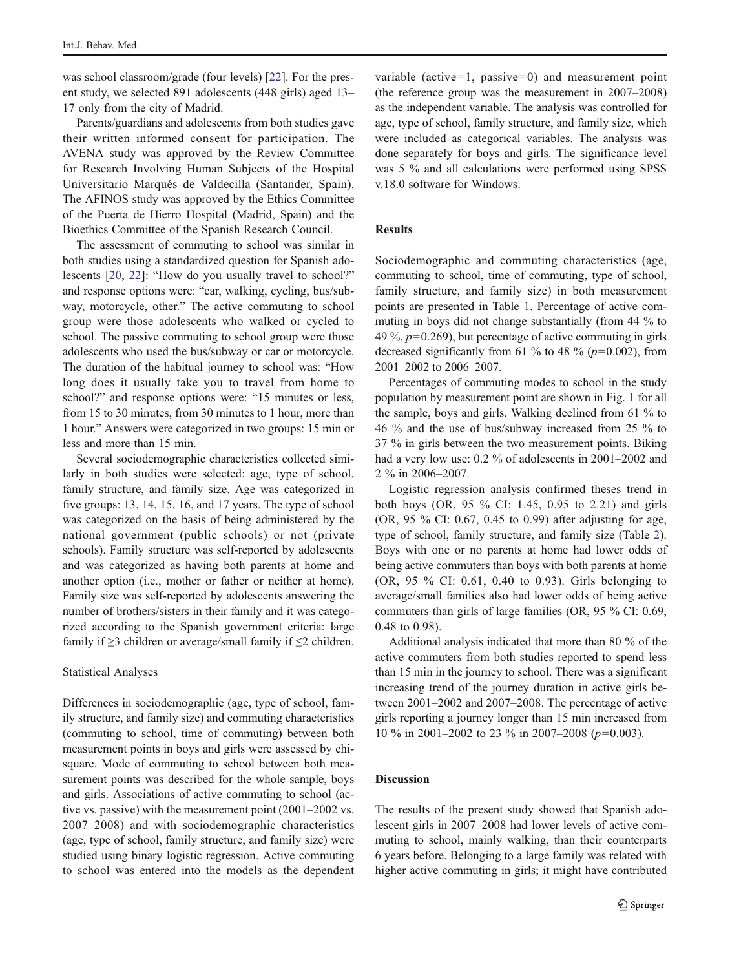was school classroom/grade (four levels) [[22\]](#page-7-0). For the present study, we selected 891 adolescents (448 girls) aged 13– 17 only from the city of Madrid.

Parents/guardians and adolescents from both studies gave their written informed consent for participation. The AVENA study was approved by the Review Committee for Research Involving Human Subjects of the Hospital Universitario Marqués de Valdecilla (Santander, Spain). The AFINOS study was approved by the Ethics Committee of the Puerta de Hierro Hospital (Madrid, Spain) and the Bioethics Committee of the Spanish Research Council.

The assessment of commuting to school was similar in both studies using a standardized question for Spanish adolescents [\[20](#page-7-0), [22](#page-7-0)]: "How do you usually travel to school?" and response options were: "car, walking, cycling, bus/subway, motorcycle, other." The active commuting to school group were those adolescents who walked or cycled to school. The passive commuting to school group were those adolescents who used the bus/subway or car or motorcycle. The duration of the habitual journey to school was: "How long does it usually take you to travel from home to school?" and response options were: "15 minutes or less, from 15 to 30 minutes, from 30 minutes to 1 hour, more than 1 hour." Answers were categorized in two groups: 15 min or less and more than 15 min.

Several sociodemographic characteristics collected similarly in both studies were selected: age, type of school, family structure, and family size. Age was categorized in five groups: 13, 14, 15, 16, and 17 years. The type of school was categorized on the basis of being administered by the national government (public schools) or not (private schools). Family structure was self-reported by adolescents and was categorized as having both parents at home and another option (i.e., mother or father or neither at home). Family size was self-reported by adolescents answering the number of brothers/sisters in their family and it was categorized according to the Spanish government criteria: large family if ≥3 children or average/small family if ≤2 children.

#### Statistical Analyses

Differences in sociodemographic (age, type of school, family structure, and family size) and commuting characteristics (commuting to school, time of commuting) between both measurement points in boys and girls were assessed by chisquare. Mode of commuting to school between both measurement points was described for the whole sample, boys and girls. Associations of active commuting to school (active vs. passive) with the measurement point (2001–2002 vs. 2007–2008) and with sociodemographic characteristics (age, type of school, family structure, and family size) were studied using binary logistic regression. Active commuting to school was entered into the models as the dependent

variable (active=1, passive=0) and measurement point (the reference group was the measurement in 2007–2008) as the independent variable. The analysis was controlled for age, type of school, family structure, and family size, which were included as categorical variables. The analysis was done separately for boys and girls. The significance level was 5 % and all calculations were performed using SPSS v.18.0 software for Windows.

## Results

Sociodemographic and commuting characteristics (age, commuting to school, time of commuting, type of school, family structure, and family size) in both measurement points are presented in Table [1](#page-3-0). Percentage of active commuting in boys did not change substantially (from 44 % to 49 %,  $p=0.269$ ), but percentage of active commuting in girls decreased significantly from 61 % to 48 % ( $p=0.002$ ), from 2001–2002 to 2006–2007.

Percentages of commuting modes to school in the study population by measurement point are shown in Fig. [1](#page-4-0) for all the sample, boys and girls. Walking declined from 61 % to 46 % and the use of bus/subway increased from 25 % to 37 % in girls between the two measurement points. Biking had a very low use: 0.2 % of adolescents in 2001–2002 and 2 % in 2006–2007.

Logistic regression analysis confirmed theses trend in both boys (OR, 95 % CI: 1.45, 0.95 to 2.21) and girls (OR, 95 % CI: 0.67, 0.45 to 0.99) after adjusting for age, type of school, family structure, and family size (Table [2\)](#page-5-0). Boys with one or no parents at home had lower odds of being active commuters than boys with both parents at home (OR, 95 % CI: 0.61, 0.40 to 0.93). Girls belonging to average/small families also had lower odds of being active commuters than girls of large families (OR, 95 % CI: 0.69, 0.48 to 0.98).

Additional analysis indicated that more than 80 % of the active commuters from both studies reported to spend less than 15 min in the journey to school. There was a significant increasing trend of the journey duration in active girls between 2001–2002 and 2007–2008. The percentage of active girls reporting a journey longer than 15 min increased from 10 % in 2001–2002 to 23 % in 2007–2008 ( $p=0.003$ ).

#### Discussion

The results of the present study showed that Spanish adolescent girls in 2007–2008 had lower levels of active commuting to school, mainly walking, than their counterparts 6 years before. Belonging to a large family was related with higher active commuting in girls; it might have contributed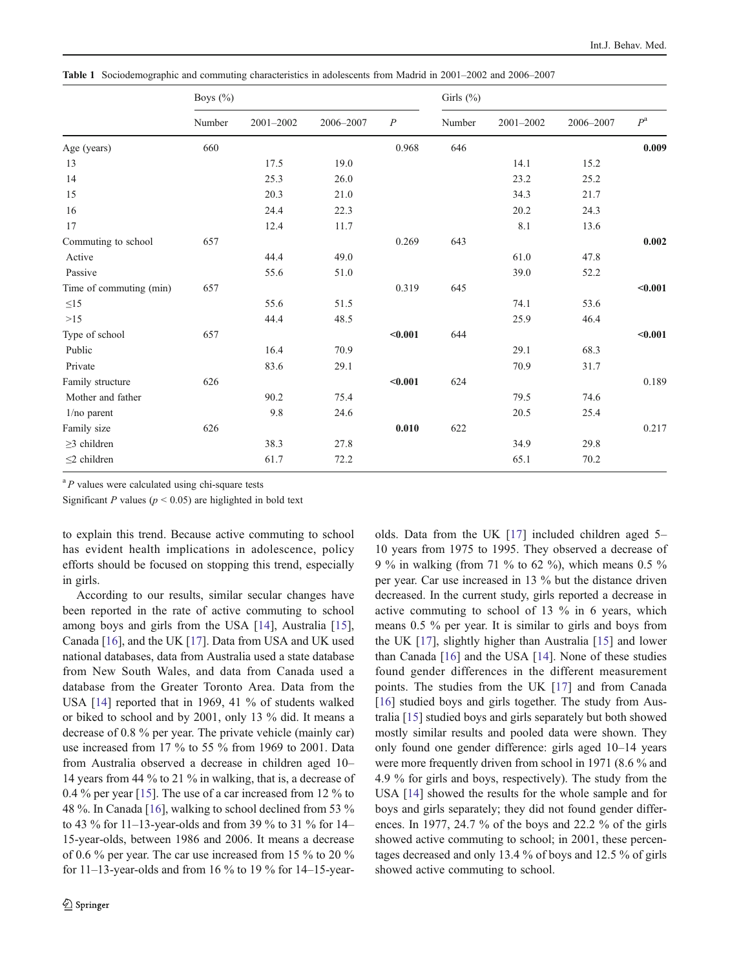<span id="page-3-0"></span>Table 1 Sociodemographic and commuting characteristics in adolescents from Madrid in 2001–2002 and 2006–2007

|                         | Boys (%) |           |           | Girls $(\%)$     |        |           |           |             |
|-------------------------|----------|-----------|-----------|------------------|--------|-----------|-----------|-------------|
|                         | Number   | 2001-2002 | 2006-2007 | $\boldsymbol{P}$ | Number | 2001-2002 | 2006-2007 | $P^{\rm a}$ |
| Age (years)             | 660      |           |           | 0.968            | 646    |           |           | 0.009       |
| 13                      |          | 17.5      | 19.0      |                  |        | 14.1      | 15.2      |             |
| 14                      |          | 25.3      | 26.0      |                  |        | 23.2      | 25.2      |             |
| 15                      |          | 20.3      | 21.0      |                  |        | 34.3      | 21.7      |             |
| 16                      |          | 24.4      | 22.3      |                  |        | 20.2      | 24.3      |             |
| 17                      |          | 12.4      | 11.7      |                  |        | 8.1       | 13.6      |             |
| Commuting to school     | 657      |           |           | 0.269            | 643    |           |           | 0.002       |
| Active                  |          | 44.4      | 49.0      |                  |        | 61.0      | 47.8      |             |
| Passive                 |          | 55.6      | 51.0      |                  |        | 39.0      | 52.2      |             |
| Time of commuting (min) | 657      |           |           | 0.319            | 645    |           |           | < 0.001     |
| $\leq15$                |          | 55.6      | 51.5      |                  |        | 74.1      | 53.6      |             |
| $>15$                   |          | 44.4      | 48.5      |                  |        | 25.9      | 46.4      |             |
| Type of school          | 657      |           |           | $0.001$          | 644    |           |           | < 0.001     |
| Public                  |          | 16.4      | 70.9      |                  |        | 29.1      | 68.3      |             |
| Private                 |          | 83.6      | 29.1      |                  |        | 70.9      | 31.7      |             |
| Family structure        | 626      |           |           | $0.001$          | 624    |           |           | 0.189       |
| Mother and father       |          | 90.2      | 75.4      |                  |        | 79.5      | 74.6      |             |
| $1/no$ parent           |          | 9.8       | 24.6      |                  |        | 20.5      | 25.4      |             |
| Family size             | 626      |           |           | 0.010            | 622    |           |           | 0.217       |
| $\geq$ 3 children       |          | 38.3      | 27.8      |                  |        | 34.9      | 29.8      |             |
| $\leq$ 2 children       |          | 61.7      | 72.2      |                  |        | 65.1      | 70.2      |             |

 ${}^{a}P$  values were calculated using chi-square tests

Significant P values ( $p < 0.05$ ) are higlighted in bold text

to explain this trend. Because active commuting to school has evident health implications in adolescence, policy efforts should be focused on stopping this trend, especially in girls.

According to our results, similar secular changes have been reported in the rate of active commuting to school among boys and girls from the USA [[14\]](#page-7-0), Australia [\[15](#page-7-0)], Canada [\[16](#page-7-0)], and the UK [\[17](#page-7-0)]. Data from USA and UK used national databases, data from Australia used a state database from New South Wales, and data from Canada used a database from the Greater Toronto Area. Data from the USA [[14\]](#page-7-0) reported that in 1969, 41 % of students walked or biked to school and by 2001, only 13 % did. It means a decrease of 0.8 % per year. The private vehicle (mainly car) use increased from 17 % to 55 % from 1969 to 2001. Data from Australia observed a decrease in children aged 10– 14 years from 44 % to 21 % in walking, that is, a decrease of 0.4 % per year [\[15](#page-7-0)]. The use of a car increased from 12 % to 48 %. In Canada [[16\]](#page-7-0), walking to school declined from 53 % to 43 % for 11–13-year-olds and from 39 % to 31 % for 14– 15-year-olds, between 1986 and 2006. It means a decrease of 0.6 % per year. The car use increased from 15 % to 20 % for  $11-13$ -year-olds and from 16 % to 19 % for  $14-15$ -yearolds. Data from the UK [\[17](#page-7-0)] included children aged 5– 10 years from 1975 to 1995. They observed a decrease of 9 % in walking (from 71 % to 62 %), which means 0.5 % per year. Car use increased in 13 % but the distance driven decreased. In the current study, girls reported a decrease in active commuting to school of 13 % in 6 years, which means 0.5 % per year. It is similar to girls and boys from the UK [[17\]](#page-7-0), slightly higher than Australia [\[15](#page-7-0)] and lower than Canada [[16\]](#page-7-0) and the USA [\[14](#page-7-0)]. None of these studies found gender differences in the different measurement points. The studies from the UK [\[17](#page-7-0)] and from Canada [\[16](#page-7-0)] studied boys and girls together. The study from Australia [[15\]](#page-7-0) studied boys and girls separately but both showed mostly similar results and pooled data were shown. They only found one gender difference: girls aged 10–14 years were more frequently driven from school in 1971 (8.6 % and 4.9 % for girls and boys, respectively). The study from the USA [\[14](#page-7-0)] showed the results for the whole sample and for boys and girls separately; they did not found gender differences. In 1977, 24.7 % of the boys and 22.2 % of the girls showed active commuting to school; in 2001, these percentages decreased and only 13.4 % of boys and 12.5 % of girls showed active commuting to school.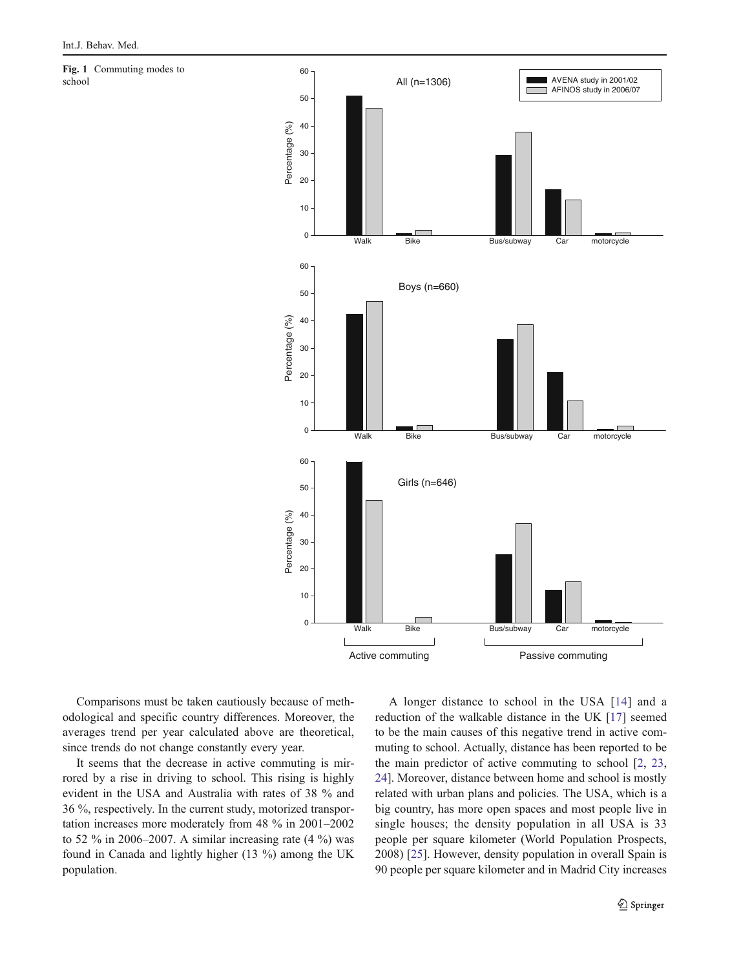<span id="page-4-0"></span>Fig. 1 Commuting modes to school



Comparisons must be taken cautiously because of methodological and specific country differences. Moreover, the averages trend per year calculated above are theoretical, since trends do not change constantly every year.

It seems that the decrease in active commuting is mirrored by a rise in driving to school. This rising is highly evident in the USA and Australia with rates of 38 % and 36 %, respectively. In the current study, motorized transportation increases more moderately from 48 % in 2001–2002 to 52  $\%$  in 2006–2007. A similar increasing rate  $(4\% )$  was found in Canada and lightly higher (13 %) among the UK population.

A longer distance to school in the USA [[14](#page-7-0)] and a reduction of the walkable distance in the UK [[17\]](#page-7-0) seemed to be the main causes of this negative trend in active commuting to school. Actually, distance has been reported to be the main predictor of active commuting to school [\[2](#page-7-0), [23,](#page-7-0) [24](#page-7-0)]. Moreover, distance between home and school is mostly related with urban plans and policies. The USA, which is a big country, has more open spaces and most people live in single houses; the density population in all USA is 33 people per square kilometer (World Population Prospects, 2008) [\[25](#page-7-0)]. However, density population in overall Spain is 90 people per square kilometer and in Madrid City increases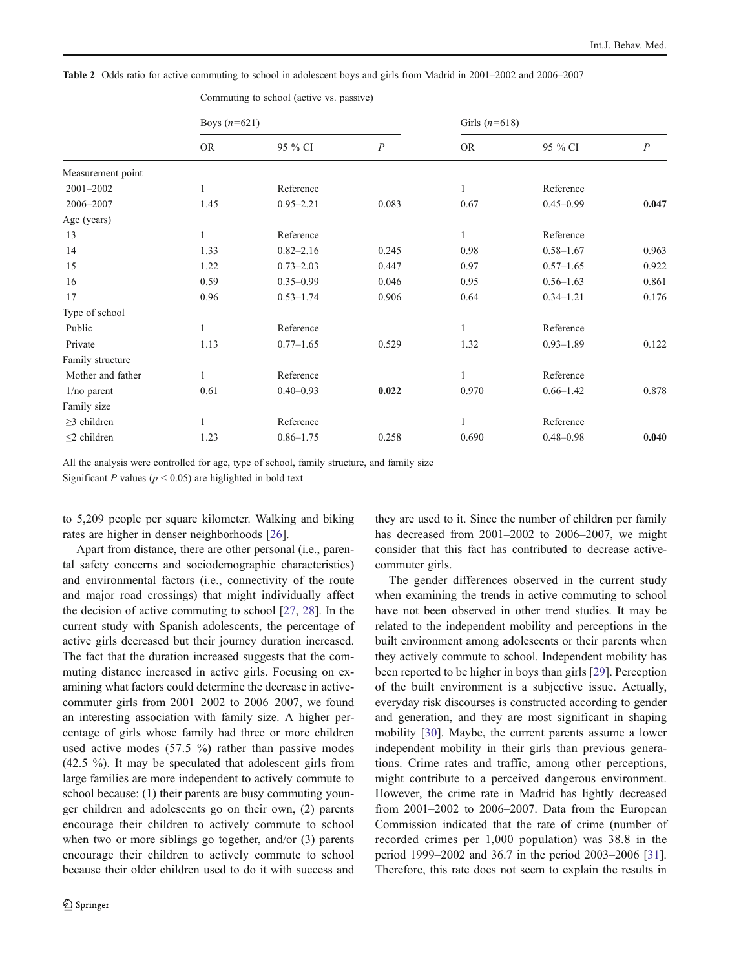<span id="page-5-0"></span>

|  |  |  |  |  | Table 2 Odds ratio for active commuting to school in adolescent boys and girls from Madrid in 2001-2002 and 2006-2007 |
|--|--|--|--|--|-----------------------------------------------------------------------------------------------------------------------|
|--|--|--|--|--|-----------------------------------------------------------------------------------------------------------------------|

|                   | Commuting to school (active vs. passive) |               |                  |                 |               |                  |  |  |
|-------------------|------------------------------------------|---------------|------------------|-----------------|---------------|------------------|--|--|
|                   | Boys $(n=621)$                           |               |                  | Girls $(n=618)$ |               |                  |  |  |
|                   | <b>OR</b>                                | 95 % CI       | $\boldsymbol{P}$ | <b>OR</b>       | 95 % CI       | $\boldsymbol{P}$ |  |  |
| Measurement point |                                          |               |                  |                 |               |                  |  |  |
| 2001-2002         | $\mathbf{1}$                             | Reference     |                  | $\mathbf{1}$    | Reference     |                  |  |  |
| 2006-2007         | 1.45                                     | $0.95 - 2.21$ | 0.083            | 0.67            | $0.45 - 0.99$ | 0.047            |  |  |
| Age (years)       |                                          |               |                  |                 |               |                  |  |  |
| 13                | $\mathbf{1}$                             | Reference     |                  | $\mathbf{1}$    | Reference     |                  |  |  |
| 14                | 1.33                                     | $0.82 - 2.16$ | 0.245            | 0.98            | $0.58 - 1.67$ | 0.963            |  |  |
| 15                | 1.22                                     | $0.73 - 2.03$ | 0.447            | 0.97            | $0.57 - 1.65$ | 0.922            |  |  |
| 16                | 0.59                                     | $0.35 - 0.99$ | 0.046            | 0.95            | $0.56 - 1.63$ | 0.861            |  |  |
| 17                | 0.96                                     | $0.53 - 1.74$ | 0.906            | 0.64            | $0.34 - 1.21$ | 0.176            |  |  |
| Type of school    |                                          |               |                  |                 |               |                  |  |  |
| Public            | $\mathbf{1}$                             | Reference     |                  | $\mathbf{1}$    | Reference     |                  |  |  |
| Private           | 1.13                                     | $0.77 - 1.65$ | 0.529            | 1.32            | $0.93 - 1.89$ | 0.122            |  |  |
| Family structure  |                                          |               |                  |                 |               |                  |  |  |
| Mother and father | $\mathbf{1}$                             | Reference     |                  | 1               | Reference     |                  |  |  |
| $1/no$ parent     | 0.61                                     | $0.40 - 0.93$ | 0.022            | 0.970           | $0.66 - 1.42$ | 0.878            |  |  |
| Family size       |                                          |               |                  |                 |               |                  |  |  |
| $\geq$ 3 children | 1                                        | Reference     |                  | $\mathbf{1}$    | Reference     |                  |  |  |
| $\leq$ 2 children | 1.23                                     | $0.86 - 1.75$ | 0.258            | 0.690           | $0.48 - 0.98$ | 0.040            |  |  |
|                   |                                          |               |                  |                 |               |                  |  |  |

All the analysis were controlled for age, type of school, family structure, and family size

Significant P values ( $p \le 0.05$ ) are higlighted in bold text

to 5,209 people per square kilometer. Walking and biking rates are higher in denser neighborhoods [\[26](#page-7-0)].

Apart from distance, there are other personal (i.e., parental safety concerns and sociodemographic characteristics) and environmental factors (i.e., connectivity of the route and major road crossings) that might individually affect the decision of active commuting to school [\[27](#page-7-0), [28\]](#page-7-0). In the current study with Spanish adolescents, the percentage of active girls decreased but their journey duration increased. The fact that the duration increased suggests that the commuting distance increased in active girls. Focusing on examining what factors could determine the decrease in activecommuter girls from 2001–2002 to 2006–2007, we found an interesting association with family size. A higher percentage of girls whose family had three or more children used active modes  $(57.5 \%)$  rather than passive modes (42.5 %). It may be speculated that adolescent girls from large families are more independent to actively commute to school because: (1) their parents are busy commuting younger children and adolescents go on their own, (2) parents encourage their children to actively commute to school when two or more siblings go together, and/or (3) parents encourage their children to actively commute to school because their older children used to do it with success and

they are used to it. Since the number of children per family has decreased from 2001–2002 to 2006–2007, we might consider that this fact has contributed to decrease activecommuter girls.

The gender differences observed in the current study when examining the trends in active commuting to school have not been observed in other trend studies. It may be related to the independent mobility and perceptions in the built environment among adolescents or their parents when they actively commute to school. Independent mobility has been reported to be higher in boys than girls [\[29](#page-7-0)]. Perception of the built environment is a subjective issue. Actually, everyday risk discourses is constructed according to gender and generation, and they are most significant in shaping mobility [[30\]](#page-7-0). Maybe, the current parents assume a lower independent mobility in their girls than previous generations. Crime rates and traffic, among other perceptions, might contribute to a perceived dangerous environment. However, the crime rate in Madrid has lightly decreased from 2001–2002 to 2006–2007. Data from the European Commission indicated that the rate of crime (number of recorded crimes per 1,000 population) was 38.8 in the period 1999–2002 and 36.7 in the period 2003–2006 [[31\]](#page-7-0). Therefore, this rate does not seem to explain the results in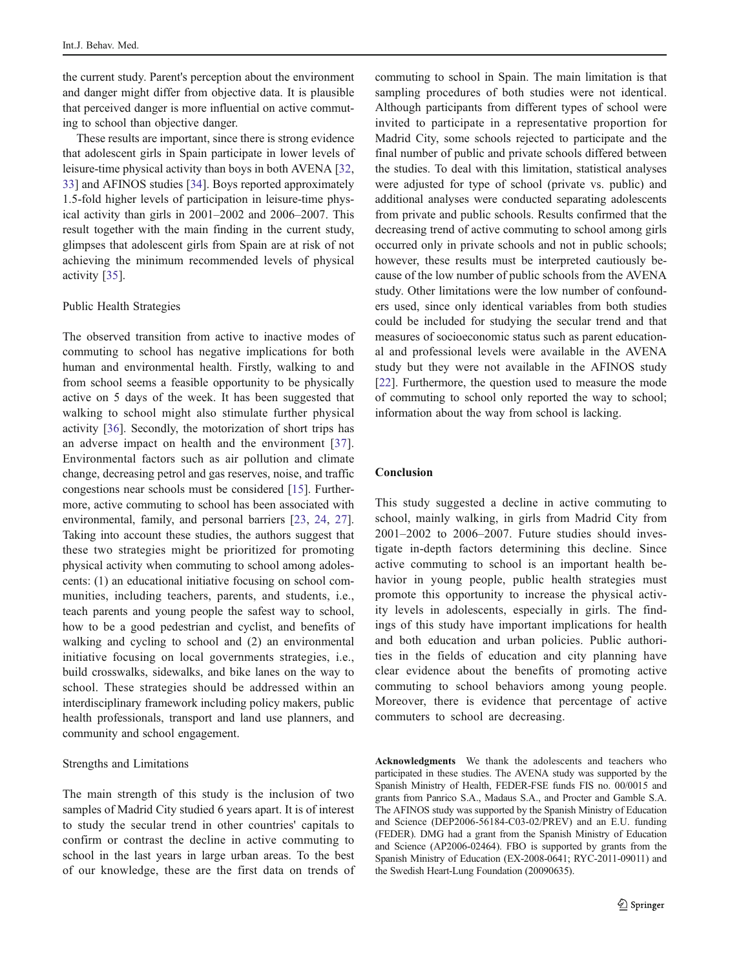the current study. Parent's perception about the environment and danger might differ from objective data. It is plausible that perceived danger is more influential on active commuting to school than objective danger.

These results are important, since there is strong evidence that adolescent girls in Spain participate in lower levels of leisure-time physical activity than boys in both AVENA [[32,](#page-7-0) [33](#page-7-0)] and AFINOS studies [\[34](#page-8-0)]. Boys reported approximately 1.5-fold higher levels of participation in leisure-time physical activity than girls in 2001–2002 and 2006–2007. This result together with the main finding in the current study, glimpses that adolescent girls from Spain are at risk of not achieving the minimum recommended levels of physical activity [[35\]](#page-8-0).

#### Public Health Strategies

The observed transition from active to inactive modes of commuting to school has negative implications for both human and environmental health. Firstly, walking to and from school seems a feasible opportunity to be physically active on 5 days of the week. It has been suggested that walking to school might also stimulate further physical activity [\[36](#page-8-0)]. Secondly, the motorization of short trips has an adverse impact on health and the environment [[37](#page-8-0)]. Environmental factors such as air pollution and climate change, decreasing petrol and gas reserves, noise, and traffic congestions near schools must be considered [\[15](#page-7-0)]. Furthermore, active commuting to school has been associated with environmental, family, and personal barriers [\[23](#page-7-0), [24,](#page-7-0) [27](#page-7-0)]. Taking into account these studies, the authors suggest that these two strategies might be prioritized for promoting physical activity when commuting to school among adolescents: (1) an educational initiative focusing on school communities, including teachers, parents, and students, i.e., teach parents and young people the safest way to school, how to be a good pedestrian and cyclist, and benefits of walking and cycling to school and (2) an environmental initiative focusing on local governments strategies, i.e., build crosswalks, sidewalks, and bike lanes on the way to school. These strategies should be addressed within an interdisciplinary framework including policy makers, public health professionals, transport and land use planners, and community and school engagement.

#### Strengths and Limitations

The main strength of this study is the inclusion of two samples of Madrid City studied 6 years apart. It is of interest to study the secular trend in other countries' capitals to confirm or contrast the decline in active commuting to school in the last years in large urban areas. To the best of our knowledge, these are the first data on trends of commuting to school in Spain. The main limitation is that sampling procedures of both studies were not identical. Although participants from different types of school were invited to participate in a representative proportion for Madrid City, some schools rejected to participate and the final number of public and private schools differed between the studies. To deal with this limitation, statistical analyses were adjusted for type of school (private vs. public) and additional analyses were conducted separating adolescents from private and public schools. Results confirmed that the decreasing trend of active commuting to school among girls occurred only in private schools and not in public schools; however, these results must be interpreted cautiously because of the low number of public schools from the AVENA study. Other limitations were the low number of confounders used, since only identical variables from both studies could be included for studying the secular trend and that measures of socioeconomic status such as parent educational and professional levels were available in the AVENA study but they were not available in the AFINOS study [\[22](#page-7-0)]. Furthermore, the question used to measure the mode of commuting to school only reported the way to school; information about the way from school is lacking.

## Conclusion

This study suggested a decline in active commuting to school, mainly walking, in girls from Madrid City from 2001–2002 to 2006–2007. Future studies should investigate in-depth factors determining this decline. Since active commuting to school is an important health behavior in young people, public health strategies must promote this opportunity to increase the physical activity levels in adolescents, especially in girls. The findings of this study have important implications for health and both education and urban policies. Public authorities in the fields of education and city planning have clear evidence about the benefits of promoting active commuting to school behaviors among young people. Moreover, there is evidence that percentage of active commuters to school are decreasing.

Acknowledgments We thank the adolescents and teachers who participated in these studies. The AVENA study was supported by the Spanish Ministry of Health, FEDER-FSE funds FIS no. 00/0015 and grants from Panrico S.A., Madaus S.A., and Procter and Gamble S.A. The AFINOS study was supported by the Spanish Ministry of Education and Science (DEP2006-56184-C03-02/PREV) and an E.U. funding (FEDER). DMG had a grant from the Spanish Ministry of Education and Science (AP2006-02464). FBO is supported by grants from the Spanish Ministry of Education (EX-2008-0641; RYC-2011-09011) and the Swedish Heart-Lung Foundation (20090635).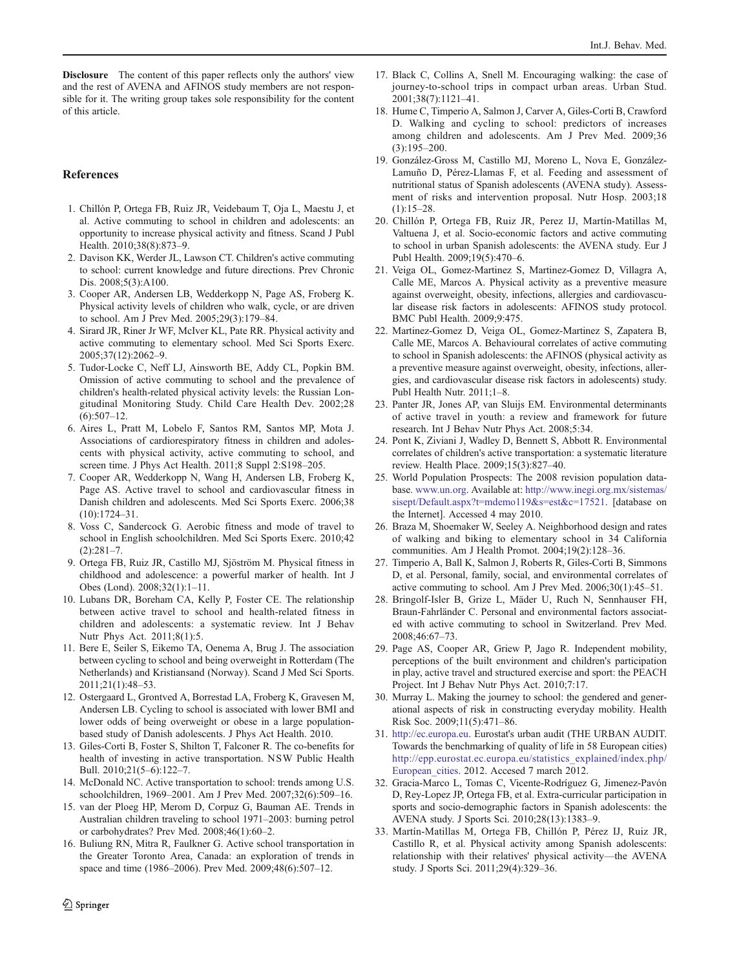<span id="page-7-0"></span>Disclosure The content of this paper reflects only the authors' view and the rest of AVENA and AFINOS study members are not responsible for it. The writing group takes sole responsibility for the content of this article.

## **References**

- 1. Chillón P, Ortega FB, Ruiz JR, Veidebaum T, Oja L, Maestu J, et al. Active commuting to school in children and adolescents: an opportunity to increase physical activity and fitness. Scand J Publ Health. 2010;38(8):873–9.
- 2. Davison KK, Werder JL, Lawson CT. Children's active commuting to school: current knowledge and future directions. Prev Chronic Dis. 2008;5(3):A100.
- 3. Cooper AR, Andersen LB, Wedderkopp N, Page AS, Froberg K. Physical activity levels of children who walk, cycle, or are driven to school. Am J Prev Med. 2005;29(3):179–84.
- 4. Sirard JR, Riner Jr WF, McIver KL, Pate RR. Physical activity and active commuting to elementary school. Med Sci Sports Exerc. 2005;37(12):2062–9.
- 5. Tudor-Locke C, Neff LJ, Ainsworth BE, Addy CL, Popkin BM. Omission of active commuting to school and the prevalence of children's health-related physical activity levels: the Russian Longitudinal Monitoring Study. Child Care Health Dev. 2002;28  $(6):507-12.$
- 6. Aires L, Pratt M, Lobelo F, Santos RM, Santos MP, Mota J. Associations of cardiorespiratory fitness in children and adolescents with physical activity, active commuting to school, and screen time. J Phys Act Health. 2011;8 Suppl 2:S198–205.
- 7. Cooper AR, Wedderkopp N, Wang H, Andersen LB, Froberg K, Page AS. Active travel to school and cardiovascular fitness in Danish children and adolescents. Med Sci Sports Exerc. 2006;38 (10):1724–31.
- 8. Voss C, Sandercock G. Aerobic fitness and mode of travel to school in English schoolchildren. Med Sci Sports Exerc. 2010;42  $(2):281-7.$
- 9. Ortega FB, Ruiz JR, Castillo MJ, Sjöström M. Physical fitness in childhood and adolescence: a powerful marker of health. Int J Obes (Lond). 2008;32(1):1–11.
- 10. Lubans DR, Boreham CA, Kelly P, Foster CE. The relationship between active travel to school and health-related fitness in children and adolescents: a systematic review. Int J Behav Nutr Phys Act. 2011;8(1):5.
- 11. Bere E, Seiler S, Eikemo TA, Oenema A, Brug J. The association between cycling to school and being overweight in Rotterdam (The Netherlands) and Kristiansand (Norway). Scand J Med Sci Sports. 2011;21(1):48–53.
- 12. Ostergaard L, Grontved A, Borrestad LA, Froberg K, Gravesen M, Andersen LB. Cycling to school is associated with lower BMI and lower odds of being overweight or obese in a large populationbased study of Danish adolescents. J Phys Act Health. 2010.
- 13. Giles-Corti B, Foster S, Shilton T, Falconer R. The co-benefits for health of investing in active transportation. NSW Public Health Bull. 2010;21(5–6):122–7.
- 14. McDonald NC. Active transportation to school: trends among U.S. schoolchildren, 1969–2001. Am J Prev Med. 2007;32(6):509–16.
- 15. van der Ploeg HP, Merom D, Corpuz G, Bauman AE. Trends in Australian children traveling to school 1971–2003: burning petrol or carbohydrates? Prev Med. 2008;46(1):60–2.
- 16. Buliung RN, Mitra R, Faulkner G. Active school transportation in the Greater Toronto Area, Canada: an exploration of trends in space and time (1986–2006). Prev Med. 2009;48(6):507–12.
- 17. Black C, Collins A, Snell M. Encouraging walking: the case of journey-to-school trips in compact urban areas. Urban Stud. 2001;38(7):1121–41.
- 18. Hume C, Timperio A, Salmon J, Carver A, Giles-Corti B, Crawford D. Walking and cycling to school: predictors of increases among children and adolescents. Am J Prev Med. 2009;36 (3):195–200.
- 19. González-Gross M, Castillo MJ, Moreno L, Nova E, González-Lamuño D, Pérez-Llamas F, et al. Feeding and assessment of nutritional status of Spanish adolescents (AVENA study). Assessment of risks and intervention proposal. Nutr Hosp. 2003;18  $(1):15-28.$
- 20. Chillón P, Ortega FB, Ruiz JR, Perez IJ, Martín-Matillas M, Valtuena J, et al. Socio-economic factors and active commuting to school in urban Spanish adolescents: the AVENA study. Eur J Publ Health. 2009;19(5):470–6.
- 21. Veiga OL, Gomez-Martinez S, Martinez-Gomez D, Villagra A, Calle ME, Marcos A. Physical activity as a preventive measure against overweight, obesity, infections, allergies and cardiovascular disease risk factors in adolescents: AFINOS study protocol. BMC Publ Health. 2009;9:475.
- 22. Martinez-Gomez D, Veiga OL, Gomez-Martinez S, Zapatera B, Calle ME, Marcos A. Behavioural correlates of active commuting to school in Spanish adolescents: the AFINOS (physical activity as a preventive measure against overweight, obesity, infections, allergies, and cardiovascular disease risk factors in adolescents) study. Publ Health Nutr. 2011;1–8.
- 23. Panter JR, Jones AP, van Sluijs EM. Environmental determinants of active travel in youth: a review and framework for future research. Int J Behav Nutr Phys Act. 2008;5:34.
- 24. Pont K, Ziviani J, Wadley D, Bennett S, Abbott R. Environmental correlates of children's active transportation: a systematic literature review. Health Place. 2009;15(3):827–40.
- 25. World Population Prospects: The 2008 revision population database. [www.un.org.](http://www.un.org) Available at: [http://www.inegi.org.mx/sistemas/](http://www.inegi.org.mx/sistemas/sisept/Default.aspx?t=mdemo119&s=est&c=17521) [sisept/Default.aspx?t](http://www.inegi.org.mx/sistemas/sisept/Default.aspx?t=mdemo119&s=est&c=17521)=[mdemo119&s](http://www.inegi.org.mx/sistemas/sisept/Default.aspx?t=mdemo119&s=est&c=17521)=[est&c](http://www.inegi.org.mx/sistemas/sisept/Default.aspx?t=mdemo119&s=est&c=17521)=[17521.](http://www.inegi.org.mx/sistemas/sisept/Default.aspx?t=mdemo119&s=est&c=17521) [database on the Internet]. Accessed 4 may 2010.
- 26. Braza M, Shoemaker W, Seeley A. Neighborhood design and rates of walking and biking to elementary school in 34 California communities. Am J Health Promot. 2004;19(2):128–36.
- 27. Timperio A, Ball K, Salmon J, Roberts R, Giles-Corti B, Simmons D, et al. Personal, family, social, and environmental correlates of active commuting to school. Am J Prev Med. 2006;30(1):45–51.
- 28. Bringolf-Isler B, Grize L, Mäder U, Ruch N, Sennhauser FH, Braun-Fahrländer C. Personal and environmental factors associated with active commuting to school in Switzerland. Prev Med. 2008;46:67–73.
- 29. Page AS, Cooper AR, Griew P, Jago R. Independent mobility, perceptions of the built environment and children's participation in play, active travel and structured exercise and sport: the PEACH Project. Int J Behav Nutr Phys Act. 2010;7:17.
- 30. Murray L. Making the journey to school: the gendered and generational aspects of risk in constructing everyday mobility. Health Risk Soc. 2009;11(5):471–86.
- 31. <http://ec.europa.eu>. Eurostat's urban audit (THE URBAN AUDIT. Towards the benchmarking of quality of life in 58 European cities) [http://epp.eurostat.ec.europa.eu/statistics\\_explained/index.php/](http://epp.eurostat.ec.europa.eu/statistics_explained/index.php/European_cities) European cities. 2012. Accesed 7 march 2012.
- 32. Gracia-Marco L, Tomas C, Vicente-Rodríguez G, Jimenez-Pavón D, Rey-Lopez JP, Ortega FB, et al. Extra-curricular participation in sports and socio-demographic factors in Spanish adolescents: the AVENA study. J Sports Sci. 2010;28(13):1383–9.
- 33. Martín-Matillas M, Ortega FB, Chillón P, Pérez IJ, Ruiz JR, Castillo R, et al. Physical activity among Spanish adolescents: relationship with their relatives' physical activity—the AVENA study. J Sports Sci. 2011;29(4):329–36.